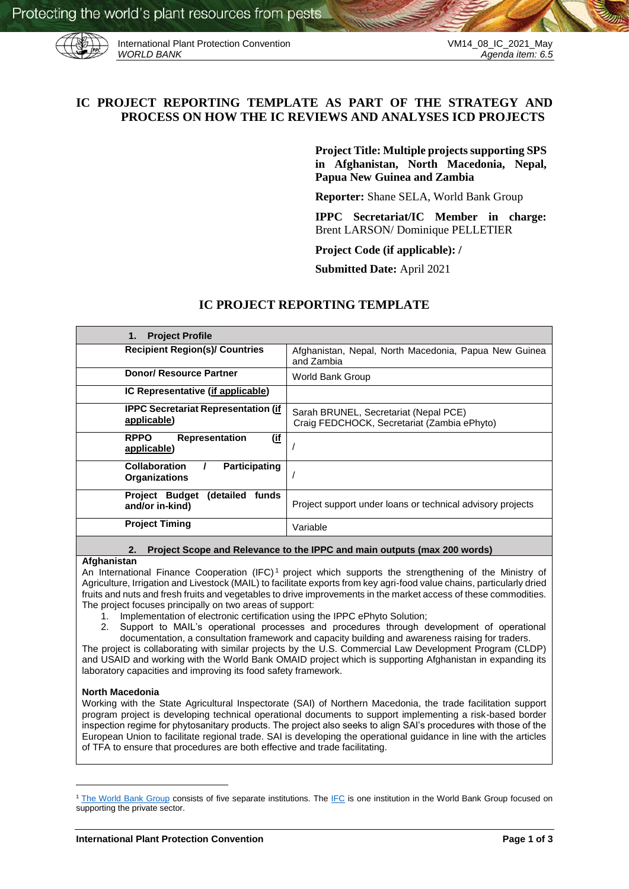

International Plant Protection Convention<br>WORLD BANK Agenda item: 6.5

# **IC PROJECT REPORTING TEMPLATE AS PART OF THE STRATEGY AND PROCESS ON HOW THE IC REVIEWS AND ANALYSES ICD PROJECTS**

**Project Title: Multiple projects supporting SPS in Afghanistan, North Macedonia, Nepal, Papua New Guinea and Zambia**

**Reporter:** Shane SELA, World Bank Group

**IPPC Secretariat/IC Member in charge:**  Brent LARSON/ Dominique PELLETIER

**Project Code (if applicable): /**

**Submitted Date:** April 2021

## **IC PROJECT REPORTING TEMPLATE**

| <b>Recipient Region(s)/ Countries</b><br>Afghanistan, Nepal, North Macedonia, Papua New Guinea<br>and Zambia<br><b>Donor/ Resource Partner</b><br><b>World Bank Group</b><br>IC Representative (if applicable)<br><b>IPPC Secretariat Representation (if</b><br>Sarah BRUNEL, Secretariat (Nepal PCE)<br>applicable)<br>Craig FEDCHOCK, Secretariat (Zambia ePhyto)<br><b>RPPO</b><br><u>(if</u><br><b>Representation</b><br>applicable)<br><b>Collaboration</b><br>Participating<br><b>Organizations</b><br><b>Project Budget</b><br>(detailed<br>funds<br>Project support under loans or technical advisory projects<br>and/or in-kind)<br><b>Project Timing</b><br>Variable | <b>Project Profile</b><br>1. |  |
|--------------------------------------------------------------------------------------------------------------------------------------------------------------------------------------------------------------------------------------------------------------------------------------------------------------------------------------------------------------------------------------------------------------------------------------------------------------------------------------------------------------------------------------------------------------------------------------------------------------------------------------------------------------------------------|------------------------------|--|
|                                                                                                                                                                                                                                                                                                                                                                                                                                                                                                                                                                                                                                                                                |                              |  |
|                                                                                                                                                                                                                                                                                                                                                                                                                                                                                                                                                                                                                                                                                |                              |  |
|                                                                                                                                                                                                                                                                                                                                                                                                                                                                                                                                                                                                                                                                                |                              |  |
|                                                                                                                                                                                                                                                                                                                                                                                                                                                                                                                                                                                                                                                                                |                              |  |
|                                                                                                                                                                                                                                                                                                                                                                                                                                                                                                                                                                                                                                                                                |                              |  |
|                                                                                                                                                                                                                                                                                                                                                                                                                                                                                                                                                                                                                                                                                |                              |  |
|                                                                                                                                                                                                                                                                                                                                                                                                                                                                                                                                                                                                                                                                                |                              |  |
|                                                                                                                                                                                                                                                                                                                                                                                                                                                                                                                                                                                                                                                                                |                              |  |

## **2. Project Scope and Relevance to the IPPC and main outputs (max 200 words)**

#### **Afghanistan**

An International Finance Cooperation (IFC) <sup>1</sup> project which supports the strengthening of the Ministry of Agriculture, Irrigation and Livestock (MAIL) to facilitate exports from key agri-food value chains, particularly dried fruits and nuts and fresh fruits and vegetables to drive improvements in the market access of these commodities. The project focuses principally on two areas of support:

- 
- 1. Implementation of electronic certification using the IPPC ePhyto Solution;<br>2. Support to MAIL's operational processes and procedures through a 2. Support to MAIL's operational processes and procedures through development of operational documentation, a consultation framework and capacity building and awareness raising for traders.

The project is collaborating with similar projects by the U.S. Commercial Law Development Program (CLDP) and USAID and working with the World Bank OMAID project which is supporting Afghanistan in expanding its laboratory capacities and improving its food safety framework.

#### **North Macedonia**

1

Working with the State Agricultural Inspectorate (SAI) of Northern Macedonia, the trade facilitation support program project is developing technical operational documents to support implementing a risk-based border inspection regime for phytosanitary products. The project also seeks to align SAI's procedures with those of the European Union to facilitate regional trade. SAI is developing the operational guidance in line with the articles of TFA to ensure that procedures are both effective and trade facilitating.

<sup>&</sup>lt;sup>1</sup> [The World Bank Group](https://www.worldbank.org/en/about) consists of five separate institutions. The [IFC](https://www.ifc.org/wps/wcm/connect/corp_ext_content/ifc_external_corporate_site/home) is one institution in the World Bank Group focused on supporting the private sector.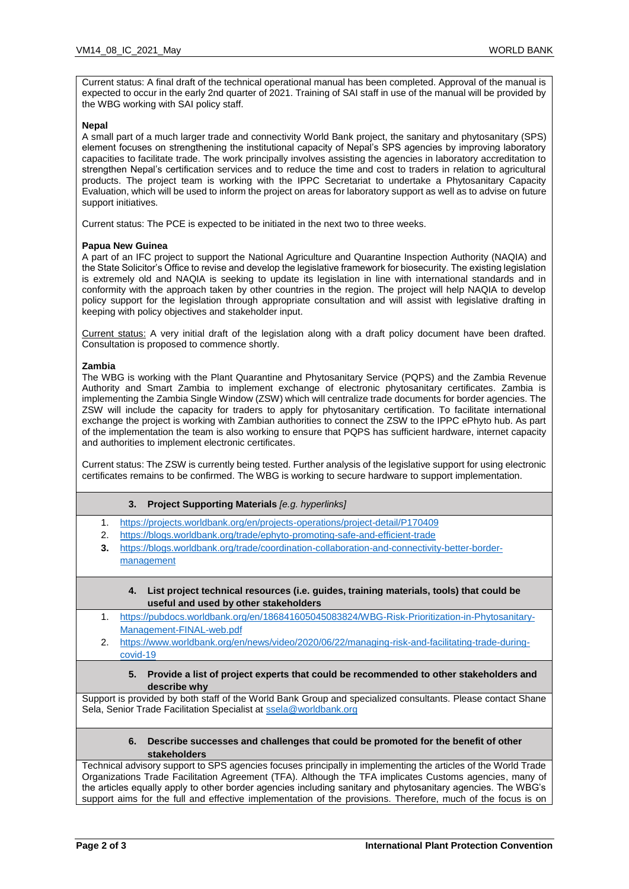Current status: A final draft of the technical operational manual has been completed. Approval of the manual is expected to occur in the early 2nd quarter of 2021. Training of SAI staff in use of the manual will be provided by the WBG working with SAI policy staff.

#### **Nepal**

A small part of a much larger trade and connectivity World Bank project, the sanitary and phytosanitary (SPS) element focuses on strengthening the institutional capacity of Nepal's SPS agencies by improving laboratory capacities to facilitate trade. The work principally involves assisting the agencies in laboratory accreditation to strengthen Nepal's certification services and to reduce the time and cost to traders in relation to agricultural products. The project team is working with the IPPC Secretariat to undertake a Phytosanitary Capacity Evaluation, which will be used to inform the project on areas for laboratory support as well as to advise on future support initiatives.

Current status: The PCE is expected to be initiated in the next two to three weeks.

#### **Papua New Guinea**

A part of an IFC project to support the National Agriculture and Quarantine Inspection Authority (NAQIA) and the State Solicitor's Office to revise and develop the legislative framework for biosecurity. The existing legislation is extremely old and NAQIA is seeking to update its legislation in line with international standards and in conformity with the approach taken by other countries in the region. The project will help NAQIA to develop policy support for the legislation through appropriate consultation and will assist with legislative drafting in keeping with policy objectives and stakeholder input.

Current status: A very initial draft of the legislation along with a draft policy document have been drafted. Consultation is proposed to commence shortly.

#### **Zambia**

The WBG is working with the Plant Quarantine and Phytosanitary Service (PQPS) and the Zambia Revenue Authority and Smart Zambia to implement exchange of electronic phytosanitary certificates. Zambia is implementing the Zambia Single Window (ZSW) which will centralize trade documents for border agencies. The ZSW will include the capacity for traders to apply for phytosanitary certification. To facilitate international exchange the project is working with Zambian authorities to connect the ZSW to the IPPC ePhyto hub. As part of the implementation the team is also working to ensure that PQPS has sufficient hardware, internet capacity and authorities to implement electronic certificates.

Current status: The ZSW is currently being tested. Further analysis of the legislative support for using electronic certificates remains to be confirmed. The WBG is working to secure hardware to support implementation.

#### **3. Project Supporting Materials** *[e.g. hyperlinks]*

- 1. <https://projects.worldbank.org/en/projects-operations/project-detail/P170409>
- 2. <https://blogs.worldbank.org/trade/ephyto-promoting-safe-and-efficient-trade>
- **3.** [https://blogs.worldbank.org/trade/coordination-collaboration-and-connectivity-better-border](https://blogs.worldbank.org/trade/coordination-collaboration-and-connectivity-better-border-management)[management](https://blogs.worldbank.org/trade/coordination-collaboration-and-connectivity-better-border-management)
	- **4. List project technical resources (i.e. guides, training materials, tools) that could be useful and used by other stakeholders**
- 1. [https://pubdocs.worldbank.org/en/186841605045083824/WBG-Risk-Prioritization-in-Phytosanitary-](https://pubdocs.worldbank.org/en/186841605045083824/WBG-Risk-Prioritization-in-Phytosanitary-Management-FINAL-web.pdf)[Management-FINAL-web.pdf](https://pubdocs.worldbank.org/en/186841605045083824/WBG-Risk-Prioritization-in-Phytosanitary-Management-FINAL-web.pdf)
- 2. [https://www.worldbank.org/en/news/video/2020/06/22/managing-risk-and-facilitating-trade-during](https://www.worldbank.org/en/news/video/2020/06/22/managing-risk-and-facilitating-trade-during-covid-19)[covid-19](https://www.worldbank.org/en/news/video/2020/06/22/managing-risk-and-facilitating-trade-during-covid-19)
	- **5. Provide a list of project experts that could be recommended to other stakeholders and describe why**

Support is provided by both staff of the World Bank Group and specialized consultants. Please contact Shane Sela, Senior Trade Facilitation Specialist a[t ssela@worldbank.org](mailto:ssela@worldbank.org)

### **6. Describe successes and challenges that could be promoted for the benefit of other stakeholders**

Technical advisory support to SPS agencies focuses principally in implementing the articles of the World Trade Organizations Trade Facilitation Agreement (TFA). Although the TFA implicates Customs agencies, many of the articles equally apply to other border agencies including sanitary and phytosanitary agencies. The WBG's support aims for the full and effective implementation of the provisions. Therefore, much of the focus is on